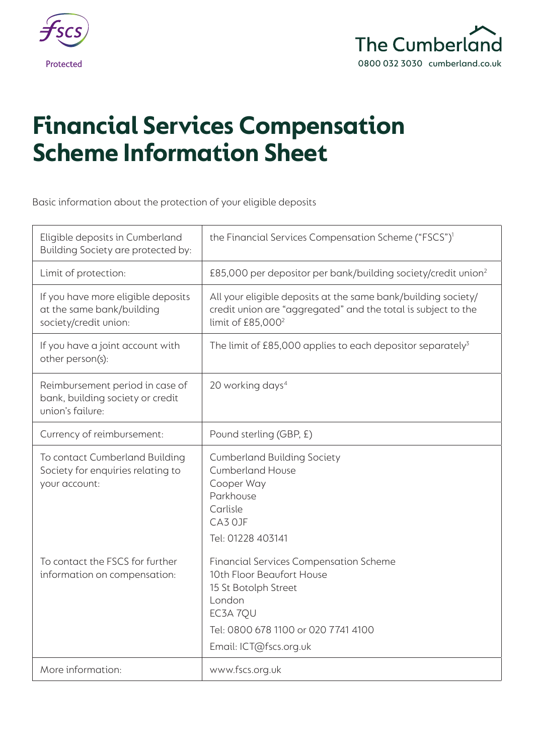



# **Financial Services Compensation Scheme Information Sheet**

Basic information about the protection of your eligible deposits

| Eligible deposits in Cumberland<br>Building Society are protected by:                    | the Financial Services Compensation Scheme ("FSCS") <sup>1</sup>                                                                                                                          |
|------------------------------------------------------------------------------------------|-------------------------------------------------------------------------------------------------------------------------------------------------------------------------------------------|
| Limit of protection:                                                                     | £85,000 per depositor per bank/building society/credit union <sup>2</sup>                                                                                                                 |
| If you have more eligible deposits<br>at the same bank/building<br>society/credit union: | All your eligible deposits at the same bank/building society/<br>credit union are "aggregated" and the total is subject to the<br>limit of £85,000 <sup>2</sup>                           |
| If you have a joint account with<br>other person(s):                                     | The limit of £85,000 applies to each depositor separately <sup>3</sup>                                                                                                                    |
| Reimbursement period in case of<br>bank, building society or credit<br>union's failure:  | 20 working days <sup>4</sup>                                                                                                                                                              |
| Currency of reimbursement:                                                               | Pound sterling (GBP, £)                                                                                                                                                                   |
| To contact Cumberland Building<br>Society for enquiries relating to<br>your account:     | <b>Cumberland Building Society</b><br><b>Cumberland House</b><br>Cooper Way<br>Parkhouse<br>Carlisle<br>CA3 OJF<br>Tel: 01228 403141                                                      |
| To contact the FSCS for further<br>information on compensation:                          | <b>Financial Services Compensation Scheme</b><br>10th Floor Beaufort House<br>15 St Botolph Street<br>London<br>EC3A 7QU<br>Tel: 0800 678 1100 or 020 7741 4100<br>Email: ICT@fscs.org.uk |
| More information:                                                                        | www.fscs.org.uk                                                                                                                                                                           |